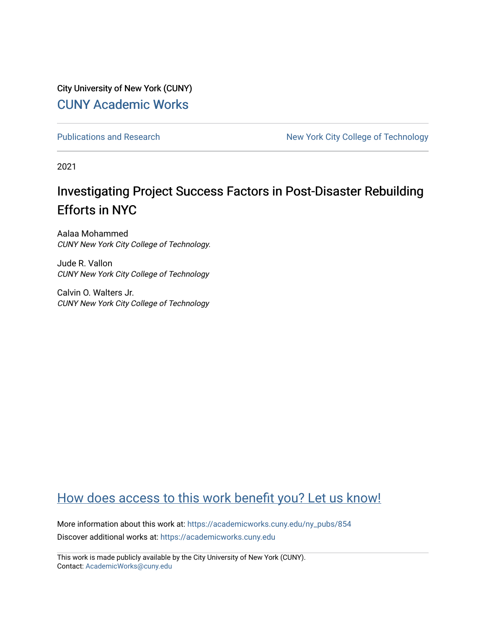City University of New York (CUNY) [CUNY Academic Works](https://academicworks.cuny.edu/) 

[Publications and Research](https://academicworks.cuny.edu/ny_pubs) New York City College of Technology

2021

# Investigating Project Success Factors in Post-Disaster Rebuilding Efforts in NYC

Aalaa Mohammed CUNY New York City College of Technology.

Jude R. Vallon CUNY New York City College of Technology

Calvin O. Walters Jr. CUNY New York City College of Technology

# [How does access to this work benefit you? Let us know!](http://ols.cuny.edu/academicworks/?ref=https://academicworks.cuny.edu/ny_pubs/854)

More information about this work at: [https://academicworks.cuny.edu/ny\\_pubs/854](https://academicworks.cuny.edu/ny_pubs/854)  Discover additional works at: [https://academicworks.cuny.edu](https://academicworks.cuny.edu/?)

This work is made publicly available by the City University of New York (CUNY). Contact: [AcademicWorks@cuny.edu](mailto:AcademicWorks@cuny.edu)